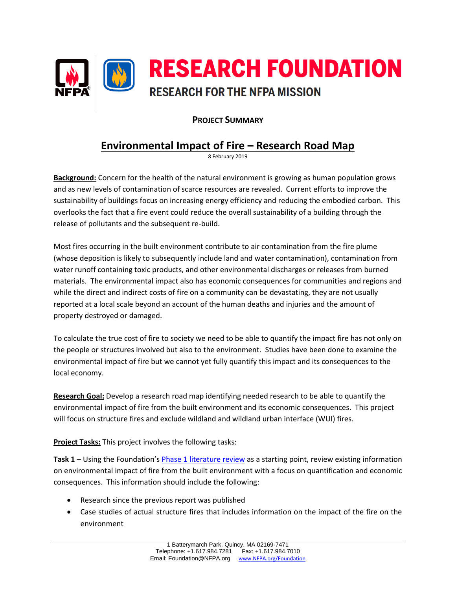

## **PROJECT SUMMARY**

# **Environmental Impact of Fire – Research Road Map**

8 February 2019

**Background:** Concern for the health of the natural environment is growing as human population grows and as new levels of contamination of scarce resources are revealed. Current efforts to improve the sustainability of buildings focus on increasing energy efficiency and reducing the embodied carbon. This overlooks the fact that a fire event could reduce the overall sustainability of a building through the release of pollutants and the subsequent re-build.

Most fires occurring in the built environment contribute to air contamination from the fire plume (whose deposition is likely to subsequently include land and water contamination), contamination from water runoff containing toxic products, and other environmental discharges or releases from burned materials. The environmental impact also has economic consequences for communities and regions and while the direct and indirect costs of fire on a community can be devastating, they are not usually reported at a local scale beyond an account of the human deaths and injuries and the amount of property destroyed or damaged.

To calculate the true cost of fire to society we need to be able to quantify the impact fire has not only on the people or structures involved but also to the environment. Studies have been done to examine the environmental impact of fire but we cannot yet fully quantify this impact and its consequences to the local economy.

**Research Goal:** Develop a research road map identifying needed research to be able to quantify the environmental impact of fire from the built environment and its economic consequences. This project will focus on structure fires and exclude wildland and wildland urban interface (WUI) fires.

**Project Tasks:** This project involves the following tasks:

**Task 1** – Using the Foundation's [Phase 1 literature review](https://www.nfpa.org/News-and-Research/Data-research-and-tools/US-Fire-Problem/The-environmental-impact-of-fire) as a starting point, review existing information on environmental impact of fire from the built environment with a focus on quantification and economic consequences. This information should include the following:

- Research since the previous report was published
- Case studies of actual structure fires that includes information on the impact of the fire on the environment